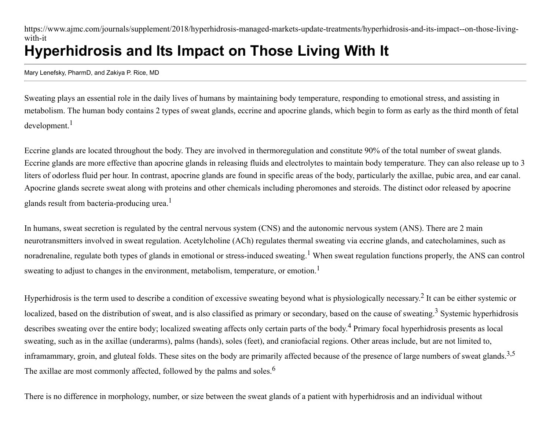https://www.ajmc.com/journals/supplement/2018/hyperhidrosis-managed-markets-update-treatments/hyperhidrosis-and-its-impact--on-those-livingwith-it

# **Hyperhidrosis and Its Impact on Those Living With It**

Mary Lenefsky, PharmD, and Zakiya P. Rice, MD

Sweating plays an essential role in the daily lives of humans by maintaining body temperature, responding to emotional stress, and assisting in metabolism. The human body contains 2 types of sweat glands, eccrine and apocrine glands, which begin to form as early as the third month of fetal development.<sup>1</sup>

Eccrine glands are located throughout the body. They are involved in thermoregulation and constitute 90% of the total number of sweat glands. Eccrine glands are more effective than apocrine glands in releasing fluids and electrolytes to maintain body temperature. They can also release up to 3 liters of odorless fluid per hour. In contrast, apocrine glands are found in specific areas of the body, particularly the axillae, pubic area, and ear canal. Apocrine glands secrete sweat along with proteins and other chemicals including pheromones and steroids. The distinct odor released by apocrine glands result from bacteria-producing urea.<sup>1</sup>

In humans, sweat secretion is regulated by the central nervous system (CNS) and the autonomic nervous system (ANS). There are 2 main neurotransmitters involved in sweat regulation. Acetylcholine (ACh) regulates thermal sweating via eccrine glands, and catecholamines, such as noradrenaline, regulate both types of glands in emotional or stress-induced sweating.<sup>1</sup> When sweat regulation functions properly, the ANS can control sweating to adjust to changes in the environment, metabolism, temperature, or emotion.<sup>1</sup>

Hyperhidrosis is the term used to describe a condition of excessive sweating beyond what is physiologically necessary.<sup>2</sup> It can be either systemic or localized, based on the distribution of sweat, and is also classified as primary or secondary, based on the cause of sweating.<sup>3</sup> Systemic hyperhidrosis describes sweating over the entire body; localized sweating affects only certain parts of the body.<sup>4</sup> Primary focal hyperhidrosis presents as local sweating, such as in the axillae (underarms), palms (hands), soles (feet), and craniofacial regions. Other areas include, but are not limited to, inframammary, groin, and gluteal folds. These sites on the body are primarily affected because of the presence of large numbers of sweat glands.<sup>3,5</sup> The axillae are most commonly affected, followed by the palms and soles.<sup>6</sup>

There is no difference in morphology, number, or size between the sweat glands of a patient with hyperhidrosis and an individual without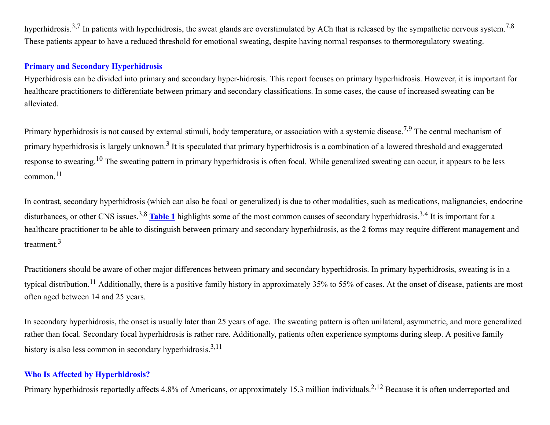hyperhidrosis.<sup>3,7</sup> In patients with hyperhidrosis, the sweat glands are overstimulated by ACh that is released by the sympathetic nervous system.<sup>7,8</sup> These patients appear to have a reduced threshold for emotional sweating, despite having normal responses to thermoregulatory sweating.

# **Primary and Secondary Hyperhidrosis**

Hyperhidrosis can be divided into primary and secondary hyper-hidrosis. This report focuses on primary hyperhidrosis. However, it is important for healthcare practitioners to differentiate between primary and secondary classifications. In some cases, the cause of increased sweating can be alleviated.

Primary hyperhidrosis is not caused by external stimuli, body temperature, or association with a systemic disease.<sup>7,9</sup> The central mechanism of primary hyperhidrosis is largely unknown.<sup>3</sup> It is speculated that primary hyperhidrosis is a combination of a lowered threshold and exaggerated response to sweating.<sup>10</sup> The sweating pattern in primary hyperhidrosis is often focal. While generalized sweating can occur, it appears to be less common.<sup>11</sup>

In contrast, secondary hyperhidrosis (which can also be focal or generalized) is due to other modalities, such as medications, malignancies, endocrine disturbances, or other CNS issues.<sup>3,8</sup> [Table 1](https://s3.amazonaws.com/ajmc/_media/_image/AJMC_ACE0130_12_2018_Hyperhydrosis_Article01_Table1.jpg?rel=0) highlights some of the most common causes of secondary hyperhidrosis.<sup>3,4</sup> It is important for a healthcare practitioner to be able to distinguish between primary and secondary hyperhidrosis, as the 2 forms may require different management and treatment.<sup>3</sup>

Practitioners should be aware of other major differences between primary and secondary hyperhidrosis. In primary hyperhidrosis, sweating is in a typical distribution.<sup>11</sup> Additionally, there is a positive family history in approximately 35% to 55% of cases. At the onset of disease, patients are most often aged between 14 and 25 years.

In secondary hyperhidrosis, the onset is usually later than 25 years of age. The sweating pattern is often unilateral, asymmetric, and more generalized rather than focal. Secondary focal hyperhidrosis is rather rare. Additionally, patients often experience symptoms during sleep. A positive family history is also less common in secondary hyperhidrosis.<sup>3,11</sup>

# **Who Is Affected by Hyperhidrosis?**

Primary hyperhidrosis reportedly affects 4.8% of Americans, or approximately 15.3 million individuals.<sup>2,12</sup> Because it is often underreported and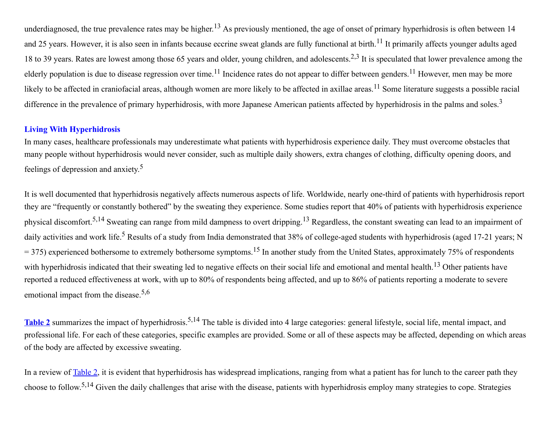underdiagnosed, the true prevalence rates may be higher.<sup>13</sup> As previously mentioned, the age of onset of primary hyperhidrosis is often between 14 and 25 years. However, it is also seen in infants because eccrine sweat glands are fully functional at birth.<sup>11</sup> It primarily affects younger adults aged 18 to 39 years. Rates are lowest among those 65 years and older, young children, and adolescents.<sup>2,3</sup> It is speculated that lower prevalence among the elderly population is due to disease regression over time.<sup>11</sup> Incidence rates do not appear to differ between genders.<sup>11</sup> However, men may be more likely to be affected in craniofacial areas, although women are more likely to be affected in axillae areas.<sup>11</sup> Some literature suggests a possible racial difference in the prevalence of primary hyperhidrosis, with more Japanese American patients affected by hyperhidrosis in the palms and soles.<sup>3</sup>

# **Living With Hyperhidrosis**

In many cases, healthcare professionals may underestimate what patients with hyperhidrosis experience daily. They must overcome obstacles that many people without hyperhidrosis would never consider, such as multiple daily showers, extra changes of clothing, difficulty opening doors, and feelings of depression and anxiety. 5

It is well documented that hyperhidrosis negatively affects numerous aspects of life. Worldwide, nearly one-third of patients with hyperhidrosis report they are "frequently or constantly bothered" by the sweating they experience. Some studies report that 40% of patients with hyperhidrosis experience physical discomfort.<sup>5,14</sup> Sweating can range from mild dampness to overt dripping.<sup>13</sup> Regardless, the constant sweating can lead to an impairment of daily activities and work life.<sup>5</sup> Results of a study from India demonstrated that 38% of college-aged students with hyperhidrosis (aged 17-21 years; N  $=$  375) experienced bothersome to extremely bothersome symptoms.<sup>15</sup> In another study from the United States, approximately 75% of respondents with hyperhidrosis indicated that their sweating led to negative effects on their social life and emotional and mental health.<sup>13</sup> Other patients have reported a reduced effectiveness at work, with up to 80% of respondents being affected, and up to 86% of patients reporting a moderate to severe emotional impact from the disease.<sup>5,6</sup>

[Table 2](https://s3.amazonaws.com/ajmc/_media/_image/AJMC_ACE0130_12_2018_Hyperhydrosis_Article01_Table2.jpg?rel=0) summarizes the impact of hyperhidrosis.<sup>5,14</sup> The table is divided into 4 large categories: general lifestyle, social life, mental impact, and professional life. For each of these categories, specific examples are provided. Some or all of these aspects may be affected, depending on which areas of the body are affected by excessive sweating.

In a review of <u>Table 2</u>, it is evident that hyperhidrosis has widespread implications, ranging from what a patient has for lunch to the career path they choose to follow.<sup>5,14</sup> Given the daily challenges that arise with the disease, patients with hyperhidrosis employ many strategies to cope. Strategies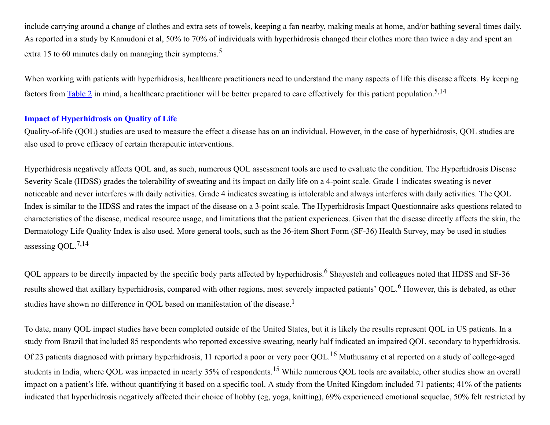include carrying around a change of clothes and extra sets of towels, keeping a fan nearby, making meals at home, and/or bathing several times daily. As reported in a study by Kamudoni et al, 50% to 70% of individuals with hyperhidrosis changed their clothes more than twice a day and spent an extra 15 to 60 minutes daily on managing their symptoms.<sup>5</sup>

When working with patients with hyperhidrosis, healthcare practitioners need to understand the many aspects of life this disease affects. By keeping factors from  $\underline{\text{Table 2}}$  $\underline{\text{Table 2}}$  $\underline{\text{Table 2}}$  in mind, a healthcare practitioner will be better prepared to care effectively for this patient population.<sup>5,14</sup>

#### **Impact of Hyperhidrosis on Quality of Life**

Quality-of-life (QOL) studies are used to measure the effect a disease has on an individual. However, in the case of hyperhidrosis, QOL studies are also used to prove efficacy of certain therapeutic interventions.

Hyperhidrosis negatively affects QOL and, as such, numerous QOL assessment tools are used to evaluate the condition. The Hyperhidrosis Disease Severity Scale (HDSS) grades the tolerability of sweating and its impact on daily life on a 4-point scale. Grade 1 indicates sweating is never noticeable and never interferes with daily activities. Grade 4 indicates sweating is intolerable and always interferes with daily activities. The QOL Index is similar to the HDSS and rates the impact of the disease on a 3-point scale. The Hyperhidrosis Impact Questionnaire asks questions related to characteristics of the disease, medical resource usage, and limitations that the patient experiences. Given that the disease directly affects the skin, the Dermatology Life Quality Index is also used. More general tools, such as the 36-item Short Form (SF-36) Health Survey, may be used in studies assessing OOL.<sup>7,14</sup>

QOL appears to be directly impacted by the specific body parts affected by hyperhidrosis.<sup>6</sup> Shayesteh and colleagues noted that HDSS and SF-36 results showed that axillary hyperhidrosis, compared with other regions, most severely impacted patients' QOL.<sup>6</sup> However, this is debated, as other studies have shown no difference in QOL based on manifestation of the disease.<sup>1</sup>

To date, many QOL impact studies have been completed outside of the United States, but it is likely the results represent QOL in US patients. In a study from Brazil that included 85 respondents who reported excessive sweating, nearly half indicated an impaired QOL secondary to hyperhidrosis. Of 23 patients diagnosed with primary hyperhidrosis, 11 reported a poor or very poor QOL.<sup>16</sup> Muthusamy et al reported on a study of college-aged students in India, where QOL was impacted in nearly 35% of respondents.<sup>15</sup> While numerous QOL tools are available, other studies show an overall impact on a patient's life, without quantifying it based on a specific tool. A study from the United Kingdom included 71 patients; 41% of the patients indicated that hyperhidrosis negatively affected their choice of hobby (eg, yoga, knitting), 69% experienced emotional sequelae, 50% felt restricted by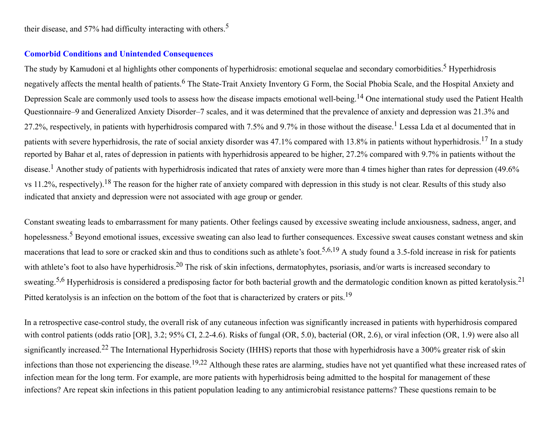their disease, and 57% had difficulty interacting with others.<sup>5</sup>

#### **Comorbid Conditions and Unintended Consequences**

The study by Kamudoni et al highlights other components of hyperhidrosis: emotional sequelae and secondary comorbidities.<sup>5</sup> Hyperhidrosis negatively affects the mental health of patients. <sup>6</sup> The State-Trait Anxiety Inventory G Form, the Social Phobia Scale, and the Hospital Anxiety and Depression Scale are commonly used tools to assess how the disease impacts emotional well-being. <sup>14</sup> One international study used the Patient Health Questionnaire–9 and Generalized Anxiety Disorder–7 scales, and it was determined that the prevalence of anxiety and depression was 21.3% and 27.2%, respectively, in patients with hyperhidrosis compared with 7.5% and 9.7% in those without the disease.<sup>1</sup> Lessa Lda et al documented that in patients with severe hyperhidrosis, the rate of social anxiety disorder was 47.1% compared with 13.8% in patients without hyperhidrosis.<sup>17</sup> In a study reported by Bahar et al, rates of depression in patients with hyperhidrosis appeared to be higher, 27.2% compared with 9.7% in patients without the disease.<sup>1</sup> Another study of patients with hyperhidrosis indicated that rates of anxiety were more than 4 times higher than rates for depression (49.6%) vs 11.2%, respectively).<sup>18</sup> The reason for the higher rate of anxiety compared with depression in this study is not clear. Results of this study also indicated that anxiety and depression were not associated with age group or gender.

Constant sweating leads to embarrassment for many patients. Other feelings caused by excessive sweating include anxiousness, sadness, anger, and hopelessness.<sup>5</sup> Beyond emotional issues, excessive sweating can also lead to further consequences. Excessive sweat causes constant wetness and skin macerations that lead to sore or cracked skin and thus to conditions such as athlete's foot.<sup>5,6,19</sup> A study found a 3.5-fold increase in risk for patients with athlete's foot to also have hyperhidrosis.<sup>20</sup> The risk of skin infections, dermatophytes, psoriasis, and/or warts is increased secondary to sweating.<sup>5,6</sup> Hyperhidrosis is considered a predisposing factor for both bacterial growth and the dermatologic condition known as pitted keratolysis.<sup>21</sup> Pitted keratolysis is an infection on the bottom of the foot that is characterized by craters or pits.<sup>19</sup>

In a retrospective case-control study, the overall risk of any cutaneous infection was significantly increased in patients with hyperhidrosis compared with control patients (odds ratio [OR], 3.2; 95% CI, 2.2-4.6). Risks of fungal (OR, 5.0), bacterial (OR, 2.6), or viral infection (OR, 1.9) were also all significantly increased.<sup>22</sup> The International Hyperhidrosis Society (IHHS) reports that those with hyperhidrosis have a 300% greater risk of skin infections than those not experiencing the disease.<sup>19,22</sup> Although these rates are alarming, studies have not yet quantified what these increased rates of infection mean for the long term. For example, are more patients with hyperhidrosis being admitted to the hospital for management of these infections? Are repeat skin infections in this patient population leading to any antimicrobial resistance patterns? These questions remain to be